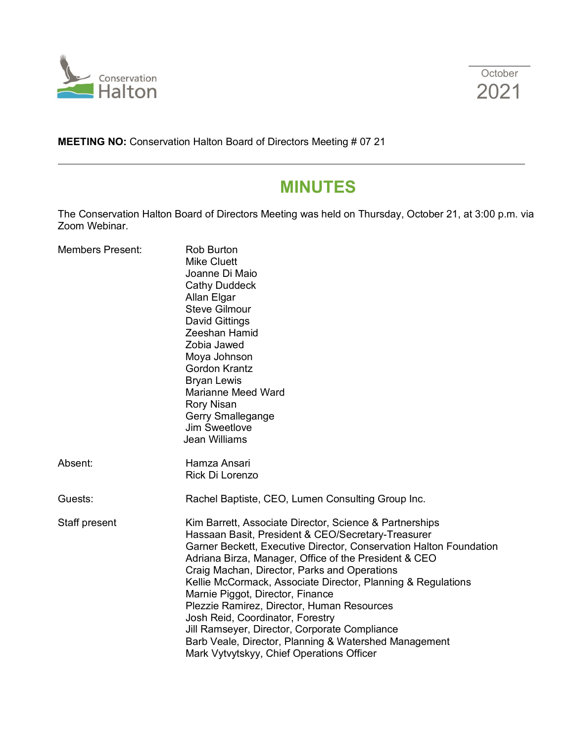



**MEETING NO:** Conservation Halton Board of Directors Meeting # 07 21

# **MINUTES**

The Conservation Halton Board of Directors Meeting was held on Thursday, October 21, at 3:00 p.m. via Zoom Webinar.

| <b>Members Present:</b> | <b>Rob Burton</b><br><b>Mike Cluett</b><br>Joanne Di Maio<br><b>Cathy Duddeck</b><br>Allan Elgar<br><b>Steve Gilmour</b><br><b>David Gittings</b><br>Zeeshan Hamid<br>Zobia Jawed<br>Moya Johnson<br><b>Gordon Krantz</b><br><b>Bryan Lewis</b><br><b>Marianne Meed Ward</b><br><b>Rory Nisan</b><br>Gerry Smallegange<br><b>Jim Sweetlove</b><br><b>Jean Williams</b>                                                                                                                                                                                                                                                                    |
|-------------------------|-------------------------------------------------------------------------------------------------------------------------------------------------------------------------------------------------------------------------------------------------------------------------------------------------------------------------------------------------------------------------------------------------------------------------------------------------------------------------------------------------------------------------------------------------------------------------------------------------------------------------------------------|
| Absent:                 | Hamza Ansari<br>Rick Di Lorenzo                                                                                                                                                                                                                                                                                                                                                                                                                                                                                                                                                                                                           |
| Guests:                 | Rachel Baptiste, CEO, Lumen Consulting Group Inc.                                                                                                                                                                                                                                                                                                                                                                                                                                                                                                                                                                                         |
| Staff present           | Kim Barrett, Associate Director, Science & Partnerships<br>Hassaan Basit, President & CEO/Secretary-Treasurer<br>Garner Beckett, Executive Director, Conservation Halton Foundation<br>Adriana Birza, Manager, Office of the President & CEO<br>Craig Machan, Director, Parks and Operations<br>Kellie McCormack, Associate Director, Planning & Regulations<br>Marnie Piggot, Director, Finance<br>Plezzie Ramirez, Director, Human Resources<br>Josh Reid, Coordinator, Forestry<br>Jill Ramseyer, Director, Corporate Compliance<br>Barb Veale, Director, Planning & Watershed Management<br>Mark Vytvytskyy, Chief Operations Officer |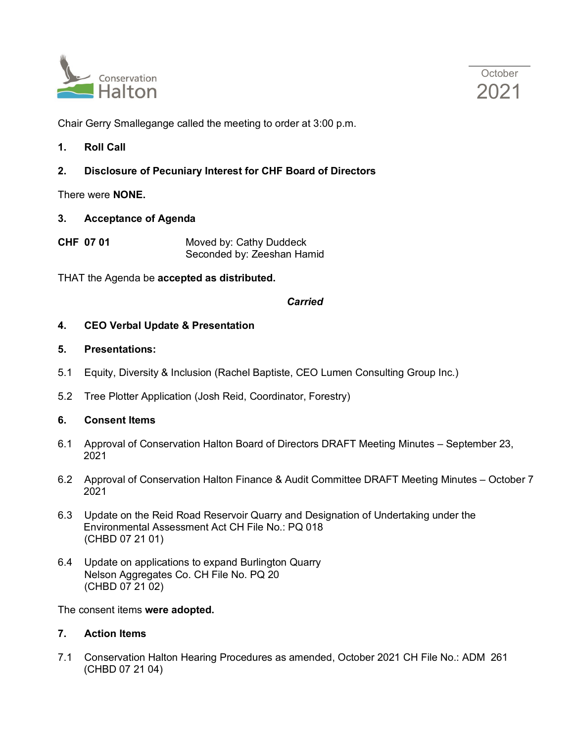



Chair Gerry Smallegange called the meeting to order at 3:00 p.m.

**1. Roll Call**

# **2. Disclosure of Pecuniary Interest for CHF Board of Directors**

There were **NONE.**

**3. Acceptance of Agenda**

**CHF 07 01** Moved by: Cathy Duddeck Seconded by: Zeeshan Hamid

THAT the Agenda be **accepted as distributed.**

### *Carried*

### **4. CEO Verbal Update & Presentation**

### **5. Presentations:**

- 5.1 Equity, Diversity & Inclusion (Rachel Baptiste, CEO Lumen Consulting Group Inc.)
- 5.2 Tree Plotter Application (Josh Reid, Coordinator, Forestry)

### **6. Consent Items**

- 6.1 Approval of Conservation Halton Board of Directors DRAFT Meeting Minutes September 23, 2021
- 6.2 Approval of Conservation Halton Finance & Audit Committee DRAFT Meeting Minutes October 7 2021
- 6.3 Update on the Reid Road Reservoir Quarry and Designation of Undertaking under the Environmental Assessment Act CH File No.: PQ 018 (CHBD 07 21 01)
- 6.4 Update on applications to expand Burlington Quarry Nelson Aggregates Co. CH File No. PQ 20 (CHBD 07 21 02)

The consent items **were adopted.**

### **7. Action Items**

7.1 Conservation Halton Hearing Procedures as amended, October 2021 CH File No.: ADM 261 (CHBD 07 21 04)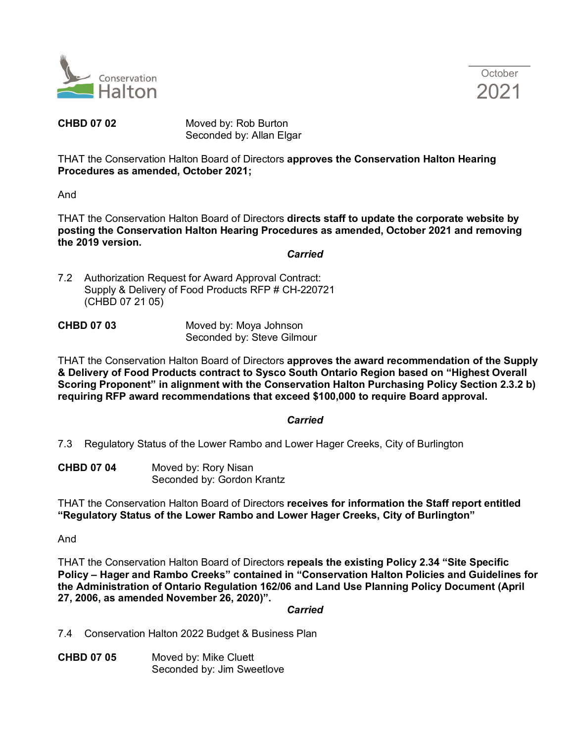



**CHBD 07 02** Moved by: Rob Burton Seconded by: Allan Elgar

THAT the Conservation Halton Board of Directors **approves the Conservation Halton Hearing Procedures as amended, October 2021;** 

And

THAT the Conservation Halton Board of Directors **directs staff to update the corporate website by posting the Conservation Halton Hearing Procedures as amended, October 2021 and removing the 2019 version.**

#### *Carried*

7.2 Authorization Request for Award Approval Contract: Supply & Delivery of Food Products RFP # CH-220721 (CHBD 07 21 05)

| <b>CHBD 07 03</b> | Moved by: Moya Johnson     |
|-------------------|----------------------------|
|                   | Seconded by: Steve Gilmour |

THAT the Conservation Halton Board of Directors **approves the award recommendation of the Supply & Delivery of Food Products contract to Sysco South Ontario Region based on "Highest Overall Scoring Proponent" in alignment with the Conservation Halton Purchasing Policy Section 2.3.2 b) requiring RFP award recommendations that exceed \$100,000 to require Board approval.**

### *Carried*

7.3 Regulatory Status of the Lower Rambo and Lower Hager Creeks, City of Burlington

**CHBD 07 04** Moved by: Rory Nisan Seconded by: Gordon Krantz

THAT the Conservation Halton Board of Directors **receives for information the Staff report entitled "Regulatory Status of the Lower Rambo and Lower Hager Creeks, City of Burlington"** 

#### And

THAT the Conservation Halton Board of Directors **repeals the existing Policy 2.34 "Site Specific Policy – Hager and Rambo Creeks" contained in "Conservation Halton Policies and Guidelines for the Administration of Ontario Regulation 162/06 and Land Use Planning Policy Document (April 27, 2006, as amended November 26, 2020)".**

*Carried*

7.4 Conservation Halton 2022 Budget & Business Plan

**CHBD 07 05** Moved by: Mike Cluett Seconded by: Jim Sweetlove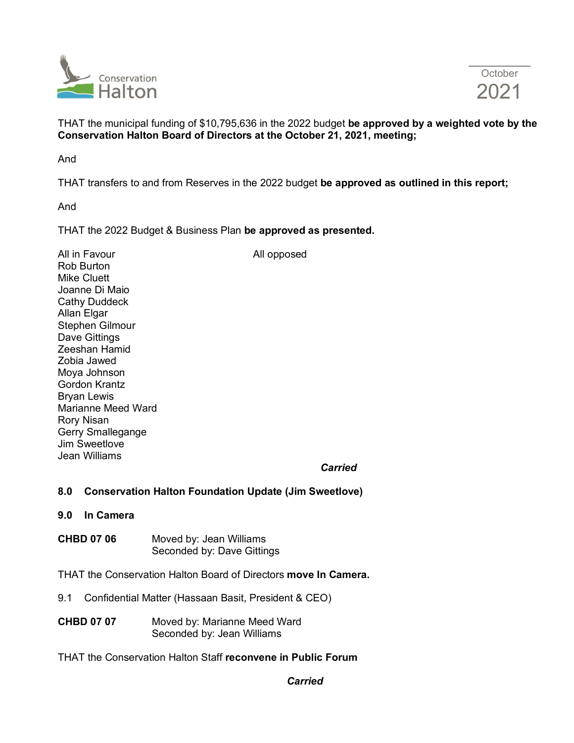

THAT the municipal funding of \$10,795,636 in the 2022 budget **be approved by a weighted vote by the Conservation Halton Board of Directors at the October 21, 2021, meeting;**

And

THAT transfers to and from Reserves in the 2022 budget **be approved as outlined in this report;**

And

THAT the 2022 Budget & Business Plan **be approved as presented.**

All in Favour and the contract of the All opposed Rob Burton Mike Cluett Joanne Di Maio Cathy Duddeck Allan Elgar Stephen Gilmour Dave Gittings Zeeshan Hamid Zobia Jawed Moya Johnson Gordon Krantz Bryan Lewis Marianne Meed Ward Rory Nisan Gerry Smallegange Jim Sweetlove Jean Williams

*Carried*

## **8.0 Conservation Halton Foundation Update (Jim Sweetlove)**

- **9.0 In Camera**
- **CHBD 07 06** Moved by: Jean Williams Seconded by: Dave Gittings

THAT the Conservation Halton Board of Directors **move In Camera.**

- 9.1 Confidential Matter (Hassaan Basit, President & CEO)
- **CHBD 07 07** Moved by: Marianne Meed Ward Seconded by: Jean Williams
- THAT the Conservation Halton Staff **reconvene in Public Forum**

*Carried*